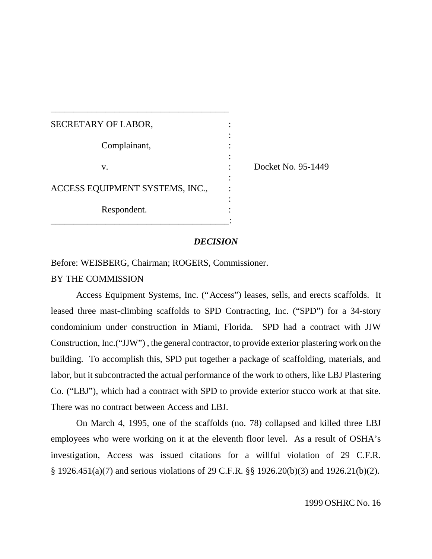| SECRETARY OF LABOR,             |                    |
|---------------------------------|--------------------|
| Complainant,                    |                    |
| V.                              | Docket No. 95-1449 |
| ACCESS EQUIPMENT SYSTEMS, INC., |                    |
| Respondent.                     |                    |

\_\_\_\_\_\_\_\_\_\_\_\_\_\_\_\_\_\_\_\_\_\_\_\_\_\_\_\_\_\_\_\_\_\_\_\_\_\_\_

#### *DECISION*

Before: WEISBERG, Chairman; ROGERS, Commissioner.

### BY THE COMMISSION

Access Equipment Systems, Inc. ("Access") leases, sells, and erects scaffolds. It leased three mast-climbing scaffolds to SPD Contracting, Inc. ("SPD") for a 34-story condominium under construction in Miami, Florida. SPD had a contract with JJW Construction, Inc.("JJW") , the general contractor, to provide exterior plastering work on the building. To accomplish this, SPD put together a package of scaffolding, materials, and labor, but it subcontracted the actual performance of the work to others, like LBJ Plastering Co. ("LBJ"), which had a contract with SPD to provide exterior stucco work at that site. There was no contract between Access and LBJ.

On March 4, 1995, one of the scaffolds (no. 78) collapsed and killed three LBJ employees who were working on it at the eleventh floor level. As a result of OSHA's investigation, Access was issued citations for a willful violation of 29 C.F.R. § 1926.451(a)(7) and serious violations of 29 C.F.R. §§ 1926.20(b)(3) and 1926.21(b)(2).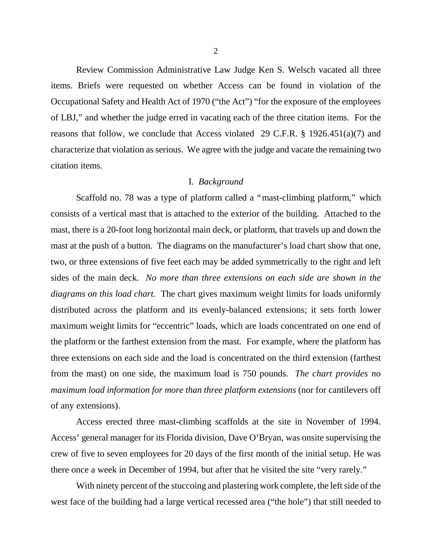Review Commission Administrative Law Judge Ken S. Welsch vacated all three items. Briefs were requested on whether Access can be found in violation of the Occupational Safety and Health Act of 1970 ("the Act") "for the exposure of the employees of LBJ," and whether the judge erred in vacating each of the three citation items. For the reasons that follow, we conclude that Access violated 29 C.F.R. § 1926.451(a)(7) and characterize that violation as serious. We agree with the judge and vacate the remaining two citation items.

#### I. *Background*

Scaffold no. 78 was a type of platform called a "mast-climbing platform," which consists of a vertical mast that is attached to the exterior of the building. Attached to the mast, there is a 20-foot long horizontal main deck, or platform, that travels up and down the mast at the push of a button. The diagrams on the manufacturer's load chart show that one, two, or three extensions of five feet each may be added symmetrically to the right and left sides of the main deck. *No more than three extensions on each side are shown in the diagrams on this load chart.* The chart gives maximum weight limits for loads uniformly distributed across the platform and its evenly-balanced extensions; it sets forth lower maximum weight limits for "eccentric" loads, which are loads concentrated on one end of the platform or the farthest extension from the mast. For example, where the platform has three extensions on each side and the load is concentrated on the third extension (farthest from the mast) on one side, the maximum load is 750 pounds. *The chart provides no maximum load information for more than three platform extensions* (nor for cantilevers off of any extensions).

Access erected three mast-climbing scaffolds at the site in November of 1994. Access' general manager for its Florida division, Dave O'Bryan, was onsite supervising the crew of five to seven employees for 20 days of the first month of the initial setup. He was there once a week in December of 1994, but after that he visited the site "very rarely."

With ninety percent of the stuccoing and plastering work complete, the left side of the west face of the building had a large vertical recessed area ("the hole") that still needed to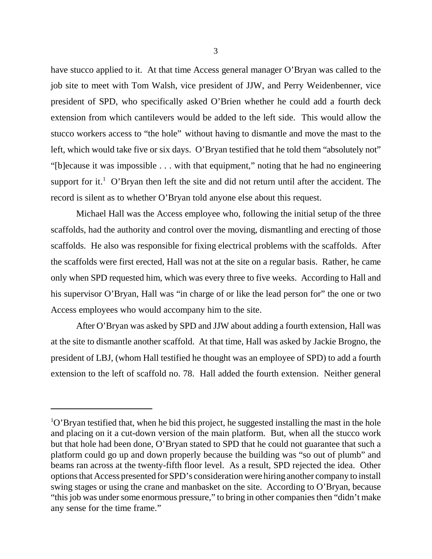have stucco applied to it. At that time Access general manager O'Bryan was called to the job site to meet with Tom Walsh, vice president of JJW, and Perry Weidenbenner, vice president of SPD, who specifically asked O'Brien whether he could add a fourth deck extension from which cantilevers would be added to the left side. This would allow the stucco workers access to "the hole" without having to dismantle and move the mast to the left, which would take five or six days. O'Bryan testified that he told them "absolutely not" "[b]ecause it was impossible . . . with that equipment," noting that he had no engineering support for it.<sup>1</sup> O'Bryan then left the site and did not return until after the accident. The record is silent as to whether O'Bryan told anyone else about this request.

Michael Hall was the Access employee who, following the initial setup of the three scaffolds, had the authority and control over the moving, dismantling and erecting of those scaffolds. He also was responsible for fixing electrical problems with the scaffolds. After the scaffolds were first erected, Hall was not at the site on a regular basis. Rather, he came only when SPD requested him, which was every three to five weeks. According to Hall and his supervisor O'Bryan, Hall was "in charge of or like the lead person for" the one or two Access employees who would accompany him to the site.

After O'Bryan was asked by SPD and JJW about adding a fourth extension, Hall was at the site to dismantle another scaffold. At that time, Hall was asked by Jackie Brogno, the president of LBJ, (whom Hall testified he thought was an employee of SPD) to add a fourth extension to the left of scaffold no. 78. Hall added the fourth extension. Neither general

 $1^{\circ}$ O'Bryan testified that, when he bid this project, he suggested installing the mast in the hole and placing on it a cut-down version of the main platform. But, when all the stucco work but that hole had been done, O'Bryan stated to SPD that he could not guarantee that such a platform could go up and down properly because the building was "so out of plumb" and beams ran across at the twenty-fifth floor level. As a result, SPD rejected the idea. Other options that Access presented for SPD's consideration were hiring another company to install swing stages or using the crane and manbasket on the site. According to O'Bryan, because "this job was under some enormous pressure," to bring in other companies then "didn't make any sense for the time frame."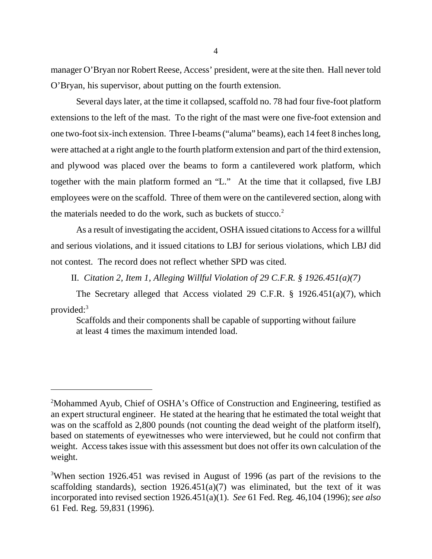manager O'Bryan nor Robert Reese, Access' president, were at the site then. Hall never told O'Bryan, his supervisor, about putting on the fourth extension.

Several days later, at the time it collapsed, scaffold no. 78 had four five-foot platform extensions to the left of the mast. To the right of the mast were one five-foot extension and one two-foot six-inch extension. Three I-beams ("aluma" beams), each 14 feet 8 inches long, were attached at a right angle to the fourth platform extension and part of the third extension, and plywood was placed over the beams to form a cantilevered work platform, which together with the main platform formed an "L." At the time that it collapsed, five LBJ employees were on the scaffold. Three of them were on the cantilevered section, along with the materials needed to do the work, such as buckets of stucco. $2$ 

As a result of investigating the accident, OSHA issued citations to Access for a willful and serious violations, and it issued citations to LBJ for serious violations, which LBJ did not contest. The record does not reflect whether SPD was cited.

II. *Citation 2, Item 1, Alleging Willful Violation of 29 C.F.R. § 1926.451(a)(7)*

The Secretary alleged that Access violated 29 C.F.R. § 1926.451(a)(7), which provided:<sup>3</sup>

Scaffolds and their components shall be capable of supporting without failure at least 4 times the maximum intended load.

<sup>2</sup>Mohammed Ayub, Chief of OSHA's Office of Construction and Engineering, testified as an expert structural engineer. He stated at the hearing that he estimated the total weight that was on the scaffold as 2,800 pounds (not counting the dead weight of the platform itself), based on statements of eyewitnesses who were interviewed, but he could not confirm that weight. Access takes issue with this assessment but does not offer its own calculation of the weight.

<sup>&</sup>lt;sup>3</sup>When section 1926.451 was revised in August of 1996 (as part of the revisions to the scaffolding standards), section  $1926.451(a)(7)$  was eliminated, but the text of it was incorporated into revised section 1926.451(a)(1). *See* 61 Fed. Reg. 46,104 (1996); *see also* 61 Fed. Reg. 59,831 (1996).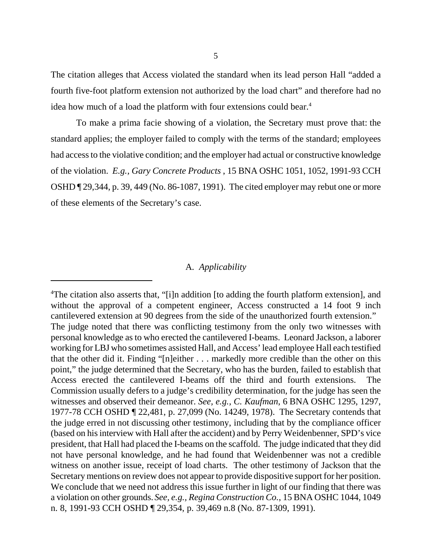The citation alleges that Access violated the standard when its lead person Hall "added a fourth five-foot platform extension not authorized by the load chart" and therefore had no idea how much of a load the platform with four extensions could bear.<sup>4</sup>

To make a prima facie showing of a violation, the Secretary must prove that: the standard applies; the employer failed to comply with the terms of the standard; employees had access to the violative condition; and the employer had actual or constructive knowledge of the violation. *E.g., Gary Concrete Products* , 15 BNA OSHC 1051, 1052, 1991-93 CCH OSHD ¶ 29,344, p. 39, 449 (No. 86-1087, 1991). The cited employer may rebut one or more of these elements of the Secretary's case.

## A. *Applicability*

<sup>4</sup>The citation also asserts that, "[i]n addition [to adding the fourth platform extension], and without the approval of a competent engineer, Access constructed a 14 foot 9 inch cantilevered extension at 90 degrees from the side of the unauthorized fourth extension." The judge noted that there was conflicting testimony from the only two witnesses with personal knowledge as to who erected the cantilevered I-beams. Leonard Jackson, a laborer working for LBJ who sometimes assisted Hall, and Access' lead employee Hall each testified that the other did it. Finding "[n]either . . . markedly more credible than the other on this point," the judge determined that the Secretary, who has the burden, failed to establish that Access erected the cantilevered I-beams off the third and fourth extensions. Commission usually defers to a judge's credibility determination, for the judge has seen the witnesses and observed their demeanor. *See, e.g., C. Kaufman*, 6 BNA OSHC 1295, 1297, 1977-78 CCH OSHD ¶ 22,481, p. 27,099 (No. 14249, 1978). The Secretary contends that the judge erred in not discussing other testimony, including that by the compliance officer (based on his interview with Hall after the accident) and by Perry Weidenbenner, SPD's vice president, that Hall had placed the I-beams on the scaffold. The judge indicated that they did not have personal knowledge, and he had found that Weidenbenner was not a credible witness on another issue, receipt of load charts. The other testimony of Jackson that the Secretary mentions on review does not appear to provide dispositive support for her position. We conclude that we need not address this issue further in light of our finding that there was a violation on other grounds. *See, e.g., Regina Construction Co.*, 15 BNA OSHC 1044, 1049 n. 8, 1991-93 CCH OSHD ¶ 29,354, p. 39,469 n.8 (No. 87-1309, 1991).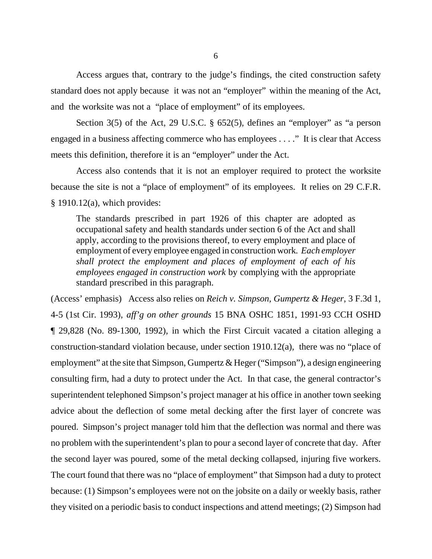Access argues that, contrary to the judge's findings, the cited construction safety standard does not apply because it was not an "employer" within the meaning of the Act, and the worksite was not a "place of employment" of its employees.

Section  $3(5)$  of the Act, 29 U.S.C. § 652(5), defines an "employer" as "a person engaged in a business affecting commerce who has employees . . . ." It is clear that Access meets this definition, therefore it is an "employer" under the Act.

Access also contends that it is not an employer required to protect the worksite because the site is not a "place of employment" of its employees. It relies on 29 C.F.R.  $§$  1910.12(a), which provides:

The standards prescribed in part 1926 of this chapter are adopted as occupational safety and health standards under section 6 of the Act and shall apply, according to the provisions thereof, to every employment and place of employment of every employee engaged in construction work. *Each employer shall protect the employment and places of employment of each of his employees engaged in construction work* by complying with the appropriate standard prescribed in this paragraph.

(Access' emphasis) Access also relies on *Reich v. Simpson, Gumpertz & Heger*, 3 F.3d 1, 4-5 (1st Cir. 1993), *aff'g on other grounds* 15 BNA OSHC 1851, 1991-93 CCH OSHD ¶ 29,828 (No. 89-1300, 1992), in which the First Circuit vacated a citation alleging a construction-standard violation because, under section 1910.12(a), there was no "place of employment" at the site that Simpson, Gumpertz & Heger ("Simpson"), a design engineering consulting firm, had a duty to protect under the Act. In that case, the general contractor's superintendent telephoned Simpson's project manager at his office in another town seeking advice about the deflection of some metal decking after the first layer of concrete was poured. Simpson's project manager told him that the deflection was normal and there was no problem with the superintendent's plan to pour a second layer of concrete that day. After the second layer was poured, some of the metal decking collapsed, injuring five workers. The court found that there was no "place of employment" that Simpson had a duty to protect because: (1) Simpson's employees were not on the jobsite on a daily or weekly basis, rather they visited on a periodic basis to conduct inspections and attend meetings; (2) Simpson had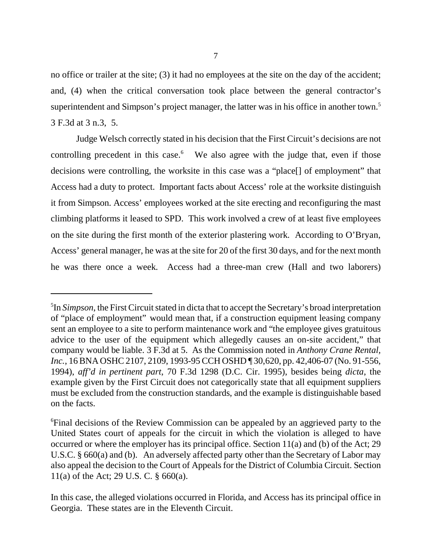no office or trailer at the site; (3) it had no employees at the site on the day of the accident; and, (4) when the critical conversation took place between the general contractor's superintendent and Simpson's project manager, the latter was in his office in another town.<sup>5</sup> 3 F.3d at 3 n.3, 5.

Judge Welsch correctly stated in his decision that the First Circuit's decisions are not controlling precedent in this case.<sup>6</sup> We also agree with the judge that, even if those decisions were controlling, the worksite in this case was a "place[] of employment" that Access had a duty to protect. Important facts about Access' role at the worksite distinguish it from Simpson. Access' employees worked at the site erecting and reconfiguring the mast climbing platforms it leased to SPD. This work involved a crew of at least five employees on the site during the first month of the exterior plastering work. According to O'Bryan, Access' general manager, he was at the site for 20 of the first 30 days, and for the next month he was there once a week. Access had a three-man crew (Hall and two laborers)

<sup>5</sup> In *Simpson*, the First Circuit stated in dicta that to accept the Secretary's broad interpretation of "place of employment" would mean that, if a construction equipment leasing company sent an employee to a site to perform maintenance work and "the employee gives gratuitous advice to the user of the equipment which allegedly causes an on-site accident," that company would be liable. 3 F.3d at 5. As the Commission noted in *Anthony Crane Rental, Inc.*, 16 BNA OSHC 2107, 2109, 1993-95 CCH OSHD ¶ 30,620, pp. 42,406-07 (No. 91-556, 1994), *aff'd in pertinent part*, 70 F.3d 1298 (D.C. Cir. 1995), besides being *dicta*, the example given by the First Circuit does not categorically state that all equipment suppliers must be excluded from the construction standards, and the example is distinguishable based on the facts.

<sup>6</sup>Final decisions of the Review Commission can be appealed by an aggrieved party to the United States court of appeals for the circuit in which the violation is alleged to have occurred or where the employer has its principal office. Section  $11(a)$  and (b) of the Act; 29 U.S.C. § 660(a) and (b). An adversely affected party other than the Secretary of Labor may also appeal the decision to the Court of Appeals for the District of Columbia Circuit. Section 11(a) of the Act; 29 U.S. C. § 660(a).

In this case, the alleged violations occurred in Florida, and Access has its principal office in Georgia. These states are in the Eleventh Circuit.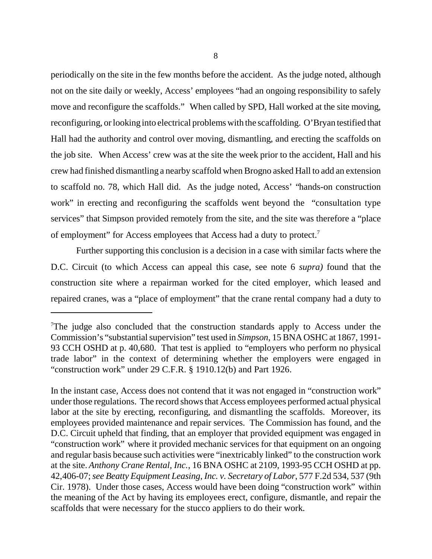periodically on the site in the few months before the accident. As the judge noted, although not on the site daily or weekly, Access' employees "had an ongoing responsibility to safely move and reconfigure the scaffolds." When called by SPD, Hall worked at the site moving, reconfiguring, or looking into electrical problems with the scaffolding. O'Bryan testified that Hall had the authority and control over moving, dismantling, and erecting the scaffolds on the job site. When Access' crew was at the site the week prior to the accident, Hall and his crew had finished dismantling a nearby scaffold when Brogno asked Hall to add an extension to scaffold no. 78, which Hall did. As the judge noted, Access' "hands-on construction work" in erecting and reconfiguring the scaffolds went beyond the "consultation type services" that Simpson provided remotely from the site, and the site was therefore a "place of employment" for Access employees that Access had a duty to protect.<sup>7</sup>

Further supporting this conclusion is a decision in a case with similar facts where the D.C. Circuit (to which Access can appeal this case, see note 6 *supra)* found that the construction site where a repairman worked for the cited employer, which leased and repaired cranes, was a "place of employment" that the crane rental company had a duty to

 $T$ The judge also concluded that the construction standards apply to Access under the Commission's "substantial supervision" test used in *Simpson*, 15 BNA OSHC at 1867, 1991- 93 CCH OSHD at p. 40,680. That test is applied to "employers who perform no physical trade labor" in the context of determining whether the employers were engaged in "construction work" under 29 C.F.R. § 1910.12(b) and Part 1926.

In the instant case, Access does not contend that it was not engaged in "construction work" under those regulations. The record shows that Access employees performed actual physical labor at the site by erecting, reconfiguring, and dismantling the scaffolds. Moreover, its employees provided maintenance and repair services. The Commission has found, and the D.C. Circuit upheld that finding, that an employer that provided equipment was engaged in "construction work" where it provided mechanic services for that equipment on an ongoing and regular basis because such activities were "inextricably linked" to the construction work at the site. *Anthony Crane Rental, Inc.*, 16 BNA OSHC at 2109, 1993-95 CCH OSHD at pp. 42,406-07;*see Beatty Equipment Leasing, Inc. v. Secretary of Labor*, 577 F.2d 534, 537 (9th Cir. 1978). Under those cases, Access would have been doing "construction work" within the meaning of the Act by having its employees erect, configure, dismantle, and repair the scaffolds that were necessary for the stucco appliers to do their work.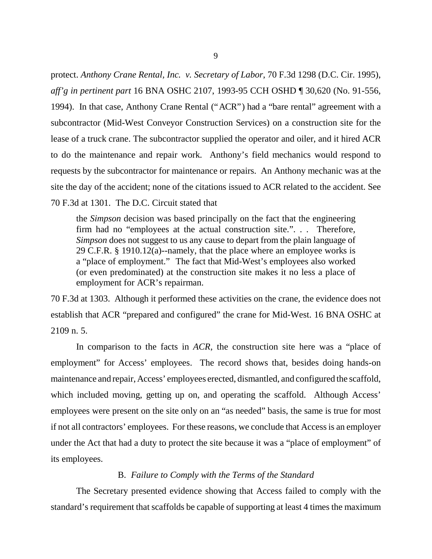protect. *Anthony Crane Rental, Inc. v. Secretary of Labor*, 70 F.3d 1298 (D.C. Cir. 1995), *aff'g in pertinent part* 16 BNA OSHC 2107, 1993-95 CCH OSHD ¶ 30,620 (No. 91-556, 1994). In that case, Anthony Crane Rental ("ACR") had a "bare rental" agreement with a subcontractor (Mid-West Conveyor Construction Services) on a construction site for the lease of a truck crane. The subcontractor supplied the operator and oiler, and it hired ACR to do the maintenance and repair work. Anthony's field mechanics would respond to requests by the subcontractor for maintenance or repairs. An Anthony mechanic was at the site the day of the accident; none of the citations issued to ACR related to the accident. See 70 F.3d at 1301. The D.C. Circuit stated that

the *Simpson* decision was based principally on the fact that the engineering firm had no "employees at the actual construction site.". . . Therefore, *Simpson* does not suggest to us any cause to depart from the plain language of 29 C.F.R. § 1910.12(a)--namely, that the place where an employee works is a "place of employment." The fact that Mid-West's employees also worked (or even predominated) at the construction site makes it no less a place of employment for ACR's repairman.

70 F.3d at 1303. Although it performed these activities on the crane, the evidence does not establish that ACR "prepared and configured" the crane for Mid-West. 16 BNA OSHC at 2109 n. 5.

In comparison to the facts in *ACR*, the construction site here was a "place of employment" for Access' employees. The record shows that, besides doing hands-on maintenance and repair, Access' employees erected, dismantled, and configured the scaffold, which included moving, getting up on, and operating the scaffold. Although Access' employees were present on the site only on an "as needed" basis, the same is true for most if not all contractors' employees. For these reasons, we conclude that Access is an employer under the Act that had a duty to protect the site because it was a "place of employment" of its employees.

# B. *Failure to Comply with the Terms of the Standard*

The Secretary presented evidence showing that Access failed to comply with the standard's requirement that scaffolds be capable of supporting at least 4 times the maximum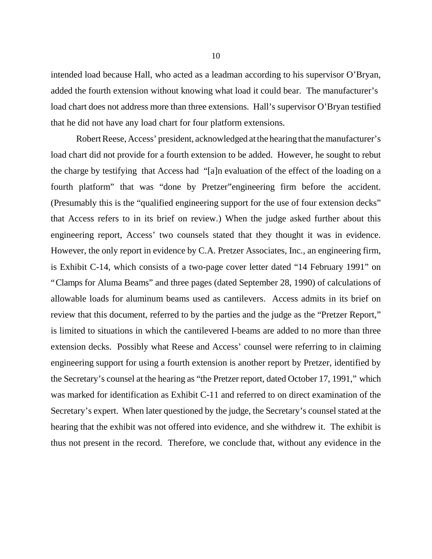intended load because Hall, who acted as a leadman according to his supervisor O'Bryan, added the fourth extension without knowing what load it could bear. The manufacturer's load chart does not address more than three extensions. Hall's supervisor O'Bryan testified that he did not have any load chart for four platform extensions.

Robert Reese, Access' president, acknowledged at the hearing that the manufacturer's load chart did not provide for a fourth extension to be added. However, he sought to rebut the charge by testifying that Access had "[a]n evaluation of the effect of the loading on a fourth platform" that was "done by Pretzer"engineering firm before the accident. (Presumably this is the "qualified engineering support for the use of four extension decks" that Access refers to in its brief on review.) When the judge asked further about this engineering report, Access' two counsels stated that they thought it was in evidence. However, the only report in evidence by C.A. Pretzer Associates, Inc., an engineering firm, is Exhibit C-14, which consists of a two-page cover letter dated "14 February 1991" on "Clamps for Aluma Beams" and three pages (dated September 28, 1990) of calculations of allowable loads for aluminum beams used as cantilevers. Access admits in its brief on review that this document, referred to by the parties and the judge as the "Pretzer Report," is limited to situations in which the cantilevered I-beams are added to no more than three extension decks. Possibly what Reese and Access' counsel were referring to in claiming engineering support for using a fourth extension is another report by Pretzer, identified by the Secretary's counsel at the hearing as "the Pretzer report, dated October 17, 1991," which was marked for identification as Exhibit C-11 and referred to on direct examination of the Secretary's expert. When later questioned by the judge, the Secretary's counsel stated at the hearing that the exhibit was not offered into evidence, and she withdrew it. The exhibit is thus not present in the record. Therefore, we conclude that, without any evidence in the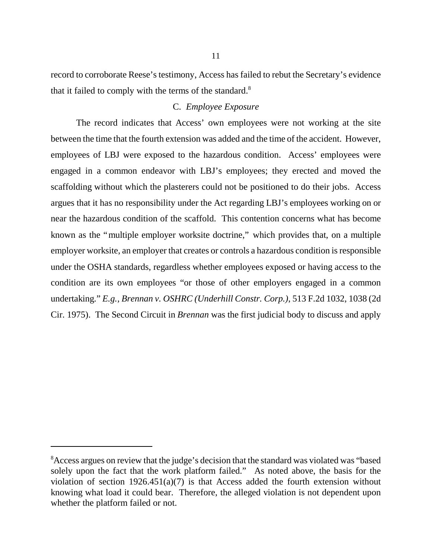record to corroborate Reese's testimony, Access has failed to rebut the Secretary's evidence that it failed to comply with the terms of the standard. $8$ 

## C. *Employee Exposure*

The record indicates that Access' own employees were not working at the site between the time that the fourth extension was added and the time of the accident. However, employees of LBJ were exposed to the hazardous condition. Access' employees were engaged in a common endeavor with LBJ's employees; they erected and moved the scaffolding without which the plasterers could not be positioned to do their jobs. Access argues that it has no responsibility under the Act regarding LBJ's employees working on or near the hazardous condition of the scaffold. This contention concerns what has become known as the "multiple employer worksite doctrine," which provides that, on a multiple employer worksite, an employer that creates or controls a hazardous condition is responsible under the OSHA standards, regardless whether employees exposed or having access to the condition are its own employees "or those of other employers engaged in a common undertaking."*E.g., Brennan v. OSHRC (Underhill Constr. Corp.)*, 513 F.2d 1032, 1038 (2d Cir. 1975). The Second Circuit in *Brennan* was the first judicial body to discuss and apply

<sup>&</sup>lt;sup>8</sup> Access argues on review that the judge's decision that the standard was violated was "based" solely upon the fact that the work platform failed." As noted above, the basis for the violation of section  $1926.451(a)(7)$  is that Access added the fourth extension without knowing what load it could bear. Therefore, the alleged violation is not dependent upon whether the platform failed or not.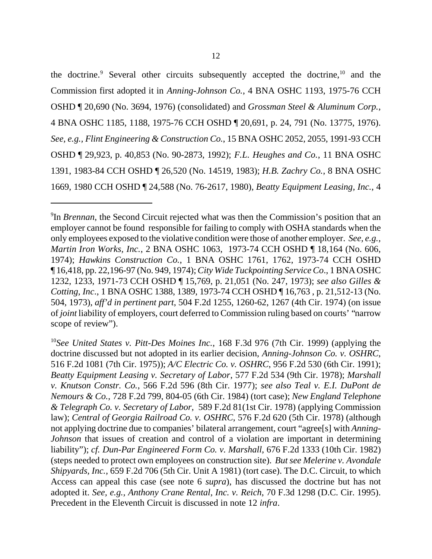the doctrine.<sup>9</sup> Several other circuits subsequently accepted the doctrine,<sup>10</sup> and the Commission first adopted it in *Anning-Johnson Co.*, 4 BNA OSHC 1193, 1975-76 CCH OSHD ¶ 20,690 (No. 3694, 1976) (consolidated) and *Grossman Steel & Aluminum Corp.*, 4 BNA OSHC 1185, 1188, 1975-76 CCH OSHD ¶ 20,691, p. 24, 791 (No. 13775, 1976). *See, e.g., Flint Engineering & Construction Co.*, 15 BNA OSHC 2052, 2055, 1991-93 CCH OSHD ¶ 29,923, p. 40,853 (No. 90-2873, 1992); *F.L. Heughes and Co.*, 11 BNA OSHC 1391, 1983-84 CCH OSHD ¶ 26,520 (No. 14519, 1983); *H.B. Zachry Co.*, 8 BNA OSHC 1669, 1980 CCH OSHD ¶ 24,588 (No. 76-2617, 1980), *Beatty Equipment Leasing, Inc.*, 4

<sup>9</sup> In *Brennan*, the Second Circuit rejected what was then the Commission's position that an employer cannot be found responsible for failing to comply with OSHA standards when the only employees exposed to the violative condition were those of another employer. *See, e.g., Martin Iron Works, Inc.*, 2 BNA OSHC 1063, 1973-74 CCH OSHD ¶ 18,164 (No. 606, 1974); *Hawkins Construction Co.*, 1 BNA OSHC 1761, 1762, 1973-74 CCH OSHD ¶ 16,418, pp. 22,196-97 (No. 949, 1974);*City Wide Tuckpointing Service Co*., 1 BNA OSHC 1232, 1233, 1971-73 CCH OSHD ¶ 15,769, p. 21,051 (No. 247, 1973); *see also Gilles & Cotting, Inc*., 1 BNA OSHC 1388, 1389, 1973-74 CCH OSHD ¶ 16,763 , p. 21,512-13 (No. 504, 1973), *aff'd in pertinent part*, 504 F.2d 1255, 1260-62, 1267 (4th Cir. 1974) (on issue of *joint* liability of employers, court deferred to Commission ruling based on courts' "narrow scope of review").

<sup>10</sup>*See United States v. Pitt-Des Moines Inc.*, 168 F.3d 976 (7th Cir. 1999) (applying the doctrine discussed but not adopted in its earlier decision, *Anning-Johnson Co. v. OSHRC*, 516 F.2d 1081 (7th Cir. 1975)); *A/C Electric Co. v. OSHRC*, 956 F.2d 530 (6th Cir. 1991); *Beatty Equipment Leasing v. Secretary of Labor*, 577 F.2d 534 (9th Cir. 1978); *Marshall v. Knutson Constr. Co.*, 566 F.2d 596 (8th Cir. 1977); *see also Teal v. E.I. DuPont de Nemours & Co.*, 728 F.2d 799, 804-05 (6th Cir. 1984) (tort case); *New England Telephone & Telegraph Co. v. Secretary of Labor*, 589 F.2d 81(1st Cir. 1978) (applying Commission law); *Central of Georgia Railroad Co. v. OSHRC*, 576 F.2d 620 (5th Cir. 1978) (although not applying doctrine due to companies' bilateral arrangement, court "agree[s] with *Anning-Johnson* that issues of creation and control of a violation are important in determining liability"); *cf. Dun-Par Engineered Form Co. v. Marshall*, 676 F.2d 1333 (10th Cir. 1982) (steps needed to protect own employees on construction site). *But see Melerine v. Avondale Shipyards, Inc.*, 659 F.2d 706 (5th Cir. Unit A 1981) (tort case). The D.C. Circuit, to which Access can appeal this case (see note 6 *supra*), has discussed the doctrine but has not adopted it. *See, e.g., Anthony Crane Rental, Inc. v. Reich*, 70 F.3d 1298 (D.C. Cir. 1995). Precedent in the Eleventh Circuit is discussed in note 12 *infra*.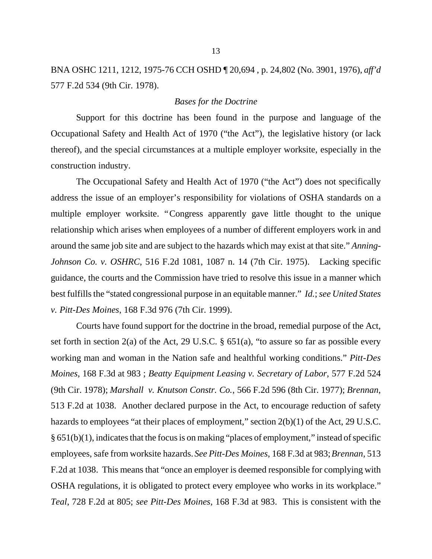BNA OSHC 1211, 1212, 1975-76 CCH OSHD ¶ 20,694 , p. 24,802 (No. 3901, 1976), *aff'd* 577 F.2d 534 (9th Cir. 1978).

### *Bases for the Doctrine*

Support for this doctrine has been found in the purpose and language of the Occupational Safety and Health Act of 1970 ("the Act"), the legislative history (or lack thereof), and the special circumstances at a multiple employer worksite, especially in the construction industry.

The Occupational Safety and Health Act of 1970 ("the Act") does not specifically address the issue of an employer's responsibility for violations of OSHA standards on a multiple employer worksite. "Congress apparently gave little thought to the unique relationship which arises when employees of a number of different employers work in and around the same job site and are subject to the hazards which may exist at that site." *Anning-Johnson Co. v. OSHRC*, 516 F.2d 1081, 1087 n. 14 (7th Cir. 1975). Lacking specific guidance, the courts and the Commission have tried to resolve this issue in a manner which best fulfills the "stated congressional purpose in an equitable manner." *Id.*;*see United States v. Pitt-Des Moines*, 168 F.3d 976 (7th Cir. 1999).

Courts have found support for the doctrine in the broad, remedial purpose of the Act, set forth in section 2(a) of the Act, 29 U.S.C.  $\S$  651(a), "to assure so far as possible every working man and woman in the Nation safe and healthful working conditions." *Pitt-Des Moines,* 168 F.3d at 983 ; *Beatty Equipment Leasing v. Secretary of Labor*, 577 F.2d 524 (9th Cir. 1978); *Marshall v. Knutson Constr. Co.*, 566 F.2d 596 (8th Cir. 1977); *Brennan*, 513 F.2d at 1038. Another declared purpose in the Act, to encourage reduction of safety hazards to employees "at their places of employment," section 2(b)(1) of the Act, 29 U.S.C. § 651(b)(1), indicates that the focus is on making "places of employment," instead of specific employees, safe from worksite hazards. *See Pitt-Des Moines*, 168 F.3d at 983; *Brennan*, 513 F.2d at 1038. This means that "once an employer is deemed responsible for complying with OSHA regulations, it is obligated to protect every employee who works in its workplace." *Teal*, 728 F.2d at 805; *see Pitt-Des Moines*, 168 F.3d at 983. This is consistent with the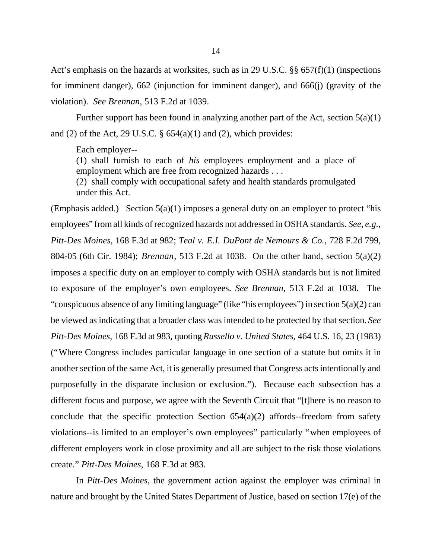Act's emphasis on the hazards at worksites, such as in 29 U.S.C. §§ 657(f)(1) (inspections for imminent danger), 662 (injunction for imminent danger), and 666(j) (gravity of the violation). *See Brennan*, 513 F.2d at 1039.

Further support has been found in analyzing another part of the Act, section  $5(a)(1)$ and (2) of the Act, 29 U.S.C.  $\S$  654(a)(1) and (2), which provides:

Each employer--

(1) shall furnish to each of *his* employees employment and a place of employment which are free from recognized hazards . . .

(2) shall comply with occupational safety and health standards promulgated under this Act.

(Emphasis added.) Section  $5(a)(1)$  imposes a general duty on an employer to protect "his employees" from all kinds of recognized hazards not addressed in OSHA standards. *See, e.g., Pitt-Des Moines*, 168 F.3d at 982; *Teal v. E.I. DuPont de Nemours & Co.*, 728 F.2d 799, 804-05 (6th Cir. 1984); *Brennan*, 513 F.2d at 1038. On the other hand, section 5(a)(2) imposes a specific duty on an employer to comply with OSHA standards but is not limited to exposure of the employer's own employees. *See Brennan*, 513 F.2d at 1038. The "conspicuous absence of any limiting language" (like "his employees") in section 5(a)(2) can be viewed as indicating that a broader class was intended to be protected by that section. *See Pitt-Des Moines*, 168 F.3d at 983, quoting *Russello v. United States*, 464 U.S. 16, 23 (1983) ("Where Congress includes particular language in one section of a statute but omits it in another section of the same Act, it is generally presumed that Congress acts intentionally and purposefully in the disparate inclusion or exclusion."). Because each subsection has a different focus and purpose, we agree with the Seventh Circuit that "[t]here is no reason to conclude that the specific protection Section  $654(a)(2)$  affords--freedom from safety violations--is limited to an employer's own employees" particularly "when employees of different employers work in close proximity and all are subject to the risk those violations create." *Pitt-Des Moines*, 168 F.3d at 983.

In *Pitt-Des Moines*, the government action against the employer was criminal in nature and brought by the United States Department of Justice, based on section 17(e) of the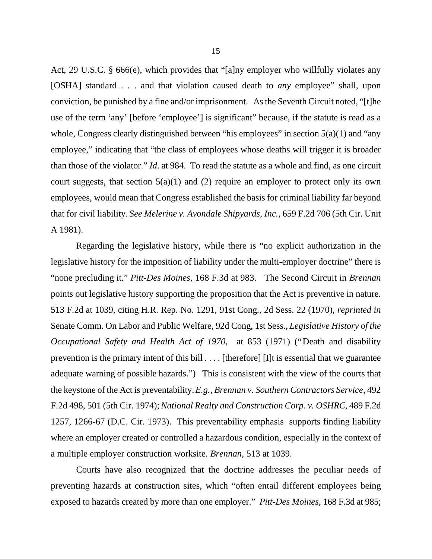Act, 29 U.S.C. § 666(e), which provides that "[a]ny employer who willfully violates any [OSHA] standard . . . and that violation caused death to *any* employee" shall, upon conviction, be punished by a fine and/or imprisonment. As the Seventh Circuit noted, "[t]he use of the term 'any' [before 'employee'] is significant" because, if the statute is read as a whole, Congress clearly distinguished between "his employees" in section 5(a)(1) and "any employee," indicating that "the class of employees whose deaths will trigger it is broader than those of the violator." *Id*. at 984. To read the statute as a whole and find, as one circuit court suggests, that section  $5(a)(1)$  and (2) require an employer to protect only its own employees, would mean that Congress established the basis for criminal liability far beyond that for civil liability. *See Melerine v. Avondale Shipyards, Inc.*, 659 F.2d 706 (5th Cir. Unit A 1981).

Regarding the legislative history, while there is "no explicit authorization in the legislative history for the imposition of liability under the multi-employer doctrine" there is "none precluding it." *Pitt-Des Moines*, 168 F.3d at 983. The Second Circuit in *Brennan* points out legislative history supporting the proposition that the Act is preventive in nature. 513 F.2d at 1039, citing H.R. Rep. No. 1291, 91st Cong., 2d Sess. 22 (1970), *reprinted in* Senate Comm. On Labor and Public Welfare, 92d Cong, 1st Sess., *Legislative History of the Occupational Safety and Health Act of 1970*, at 853 (1971) ("Death and disability prevention is the primary intent of this bill . . . . [therefore] [I]t is essential that we guarantee adequate warning of possible hazards.") This is consistent with the view of the courts that the keystone of the Act is preventability. *E.g., Brennan v. Southern Contractors Service*, 492 F.2d 498, 501 (5th Cir. 1974); *National Realty and Construction Corp. v. OSHRC*, 489 F.2d 1257, 1266-67 (D.C. Cir. 1973). This preventability emphasis supports finding liability where an employer created or controlled a hazardous condition, especially in the context of a multiple employer construction worksite. *Brennan*, 513 at 1039.

Courts have also recognized that the doctrine addresses the peculiar needs of preventing hazards at construction sites, which "often entail different employees being exposed to hazards created by more than one employer." *Pitt-Des Moines*, 168 F.3d at 985;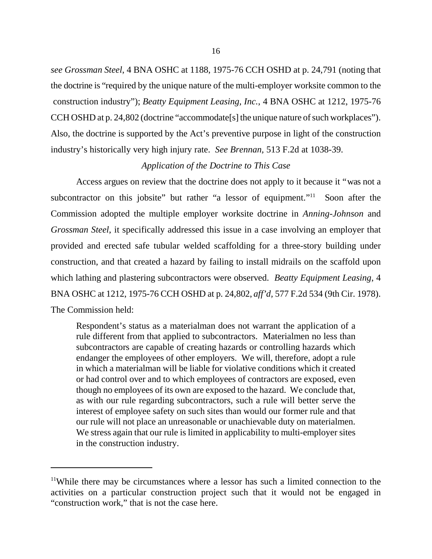*see Grossman Steel*, 4 BNA OSHC at 1188, 1975-76 CCH OSHD at p. 24,791 (noting that the doctrine is "required by the unique nature of the multi-employer worksite common to the construction industry"); *Beatty Equipment Leasing, Inc.*, 4 BNA OSHC at 1212, 1975-76 CCH OSHD at p. 24,802 (doctrine "accommodate[s] the unique nature of such workplaces"). Also, the doctrine is supported by the Act's preventive purpose in light of the construction industry's historically very high injury rate. *See Brennan,* 513 F.2d at 1038-39.

### *Application of the Doctrine to This Case*

Access argues on review that the doctrine does not apply to it because it "was not a subcontractor on this jobsite" but rather "a lessor of equipment."<sup>11</sup> Soon after the Commission adopted the multiple employer worksite doctrine in *Anning-Johnson* and *Grossman Steel*, it specifically addressed this issue in a case involving an employer that provided and erected safe tubular welded scaffolding for a three-story building under construction, and that created a hazard by failing to install midrails on the scaffold upon which lathing and plastering subcontractors were observed. *Beatty Equipment Leasing*, 4 BNA OSHC at 1212, 1975-76 CCH OSHD at p. 24,802, *aff'd,* 577 F.2d 534 (9th Cir. 1978). The Commission held:

Respondent's status as a materialman does not warrant the application of a rule different from that applied to subcontractors. Materialmen no less than subcontractors are capable of creating hazards or controlling hazards which endanger the employees of other employers. We will, therefore, adopt a rule in which a materialman will be liable for violative conditions which it created or had control over and to which employees of contractors are exposed, even though no employees of its own are exposed to the hazard. We conclude that, as with our rule regarding subcontractors, such a rule will better serve the interest of employee safety on such sites than would our former rule and that our rule will not place an unreasonable or unachievable duty on materialmen. We stress again that our rule is limited in applicability to multi-employer sites in the construction industry.

<sup>11</sup>While there may be circumstances where a lessor has such a limited connection to the activities on a particular construction project such that it would not be engaged in "construction work," that is not the case here.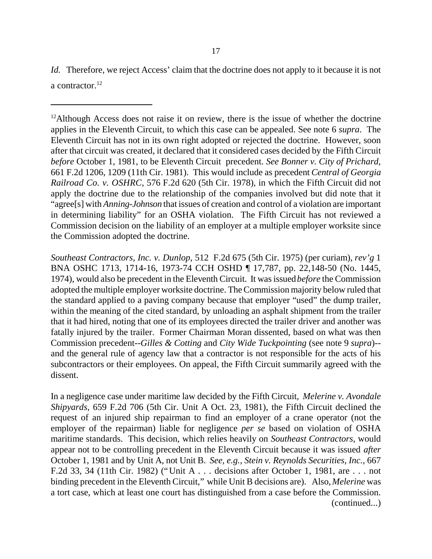*Id.* Therefore, we reject Access' claim that the doctrine does not apply to it because it is not a contractor.<sup>12</sup>

 $12$ Although Access does not raise it on review, there is the issue of whether the doctrine applies in the Eleventh Circuit, to which this case can be appealed. See note 6 *supra*. The Eleventh Circuit has not in its own right adopted or rejected the doctrine. However, soon after that circuit was created, it declared that it considered cases decided by the Fifth Circuit *before* October 1, 1981, to be Eleventh Circuit precedent. *See Bonner v. City of Prichard*, 661 F.2d 1206, 1209 (11th Cir. 1981). This would include as precedent *Central of Georgia Railroad Co. v. OSHRC*, 576 F.2d 620 (5th Cir. 1978), in which the Fifth Circuit did not apply the doctrine due to the relationship of the companies involved but did note that it "agree[s] with *Anning-Johnson* that issues of creation and control of a violation are important in determining liability" for an OSHA violation. The Fifth Circuit has not reviewed a Commission decision on the liability of an employer at a multiple employer worksite since the Commission adopted the doctrine.

*Southeast Contractors, Inc. v. Dunlop*, 512 F.2d 675 (5th Cir. 1975) (per curiam), *rev'g* 1 BNA OSHC 1713, 1714-16, 1973-74 CCH OSHD ¶ 17,787, pp. 22,148-50 (No. 1445, 1974), would also be precedent in the Eleventh Circuit. It was issued *before* the Commission adopted the multiple employer worksite doctrine. The Commission majority below ruled that the standard applied to a paving company because that employer "used" the dump trailer, within the meaning of the cited standard, by unloading an asphalt shipment from the trailer that it had hired, noting that one of its employees directed the trailer driver and another was fatally injured by the trailer. Former Chairman Moran dissented, based on what was then Commission precedent--*Gilles & Cotting* and *City Wide Tuckpointing* (see note 9 *supra*)- and the general rule of agency law that a contractor is not responsible for the acts of his subcontractors or their employees. On appeal, the Fifth Circuit summarily agreed with the dissent.

In a negligence case under maritime law decided by the Fifth Circuit, *Melerine v. Avondale Shipyards*, 659 F.2d 706 (5th Cir. Unit A Oct. 23, 1981), the Fifth Circuit declined the request of an injured ship repairman to find an employer of a crane operator (not the employer of the repairman) liable for negligence *per se* based on violation of OSHA maritime standards. This decision, which relies heavily on *Southeast Contractors*, would appear not to be controlling precedent in the Eleventh Circuit because it was issued *after* October 1, 1981 and by Unit A, not Unit B. *See, e.g., Stein v. Reynolds Securities, Inc.*, 667 F.2d 33, 34 (11th Cir. 1982) ("Unit A . . . decisions after October 1, 1981, are . . . not binding precedent in the Eleventh Circuit," while Unit B decisions are). Also, *Melerine* was a tort case, which at least one court has distinguished from a case before the Commission. (continued...)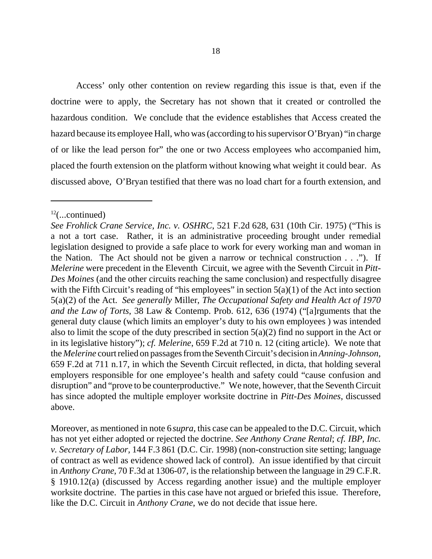Access' only other contention on review regarding this issue is that, even if the doctrine were to apply, the Secretary has not shown that it created or controlled the hazardous condition. We conclude that the evidence establishes that Access created the hazard because its employee Hall, who was (according to his supervisor O'Bryan) "in charge of or like the lead person for" the one or two Access employees who accompanied him, placed the fourth extension on the platform without knowing what weight it could bear. As discussed above, O'Bryan testified that there was no load chart for a fourth extension, and

Moreover, as mentioned in note 6 *supra,* this case can be appealed to the D.C. Circuit, which has not yet either adopted or rejected the doctrine. *See Anthony Crane Rental*; *cf. IBP, Inc. v. Secretary of Labor,* 144 F.3 861 (D.C. Cir. 1998) (non-construction site setting; language of contract as well as evidence showed lack of control). An issue identified by that circuit in *Anthony Crane,* 70 F.3d at 1306-07*,* is the relationship between the language in 29 C.F.R. § 1910.12(a) (discussed by Access regarding another issue) and the multiple employer worksite doctrine. The parties in this case have not argued or briefed this issue. Therefore, like the D.C. Circuit in *Anthony Crane*, we do not decide that issue here.

 $12$ (...continued)

*See Frohlick Crane Service, Inc. v. OSHRC*, 521 F.2d 628, 631 (10th Cir. 1975) ("This is a not a tort case. Rather, it is an administrative proceeding brought under remedial legislation designed to provide a safe place to work for every working man and woman in the Nation. The Act should not be given a narrow or technical construction . . ."). If *Melerine* were precedent in the Eleventh Circuit, we agree with the Seventh Circuit in *Pitt-Des Moines* (and the other circuits reaching the same conclusion) and respectfully disagree with the Fifth Circuit's reading of "his employees" in section  $5(a)(1)$  of the Act into section 5(a)(2) of the Act. *See generally* Miller, *The Occupational Safety and Health Act of 1970 and the Law of Torts*, 38 Law & Contemp. Prob. 612, 636 (1974) ("[a]rguments that the general duty clause (which limits an employer's duty to his own employees ) was intended also to limit the scope of the duty prescribed in section  $5(a)(2)$  find no support in the Act or in its legislative history"); *cf. Melerine*, 659 F.2d at 710 n. 12 (citing article). We note that the *Melerine* court relied on passages from the Seventh Circuit's decision in*Anning-Johnson*, 659 F.2d at 711 n.17, in which the Seventh Circuit reflected, in dicta, that holding several employers responsible for one employee's health and safety could "cause confusion and disruption" and "prove to be counterproductive." We note, however, that the Seventh Circuit has since adopted the multiple employer worksite doctrine in *Pitt-Des Moines*, discussed above.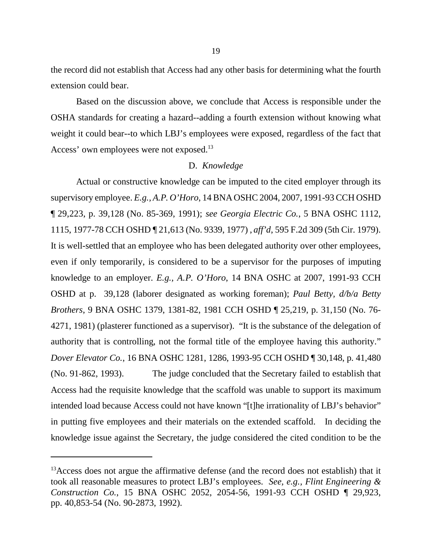the record did not establish that Access had any other basis for determining what the fourth extension could bear.

Based on the discussion above, we conclude that Access is responsible under the OSHA standards for creating a hazard--adding a fourth extension without knowing what weight it could bear--to which LBJ's employees were exposed, regardless of the fact that Access' own employees were not exposed.<sup>13</sup>

#### D. *Knowledge*

Actual or constructive knowledge can be imputed to the cited employer through its supervisory employee. *E.g., A.P. O'Horo*, 14 BNA OSHC 2004, 2007, 1991-93 CCH OSHD ¶ 29,223, p. 39,128 (No. 85-369, 1991); *see Georgia Electric Co.*, 5 BNA OSHC 1112, 1115, 1977-78 CCH OSHD ¶ 21,613 (No. 9339, 1977) , *aff'd*, 595 F.2d 309 (5th Cir. 1979). It is well-settled that an employee who has been delegated authority over other employees, even if only temporarily, is considered to be a supervisor for the purposes of imputing knowledge to an employer. *E.g., A.P. O'Horo*, 14 BNA OSHC at 2007, 1991-93 CCH OSHD at p. 39,128 (laborer designated as working foreman); *Paul Betty, d/b/a Betty Brothers*, 9 BNA OSHC 1379, 1381-82, 1981 CCH OSHD ¶ 25,219, p. 31,150 (No. 76- 4271, 1981) (plasterer functioned as a supervisor). "It is the substance of the delegation of authority that is controlling, not the formal title of the employee having this authority." *Dover Elevator Co.*, 16 BNA OSHC 1281, 1286, 1993-95 CCH OSHD ¶ 30,148, p. 41,480 (No. 91-862, 1993). The judge concluded that the Secretary failed to establish that Access had the requisite knowledge that the scaffold was unable to support its maximum intended load because Access could not have known "[t]he irrationality of LBJ's behavior" in putting five employees and their materials on the extended scaffold. In deciding the knowledge issue against the Secretary, the judge considered the cited condition to be the

 $13$ Access does not argue the affirmative defense (and the record does not establish) that it took all reasonable measures to protect LBJ's employees. *See, e.g., Flint Engineering & Construction Co.*, 15 BNA OSHC 2052, 2054-56, 1991-93 CCH OSHD ¶ 29,923, pp. 40,853-54 (No. 90-2873, 1992).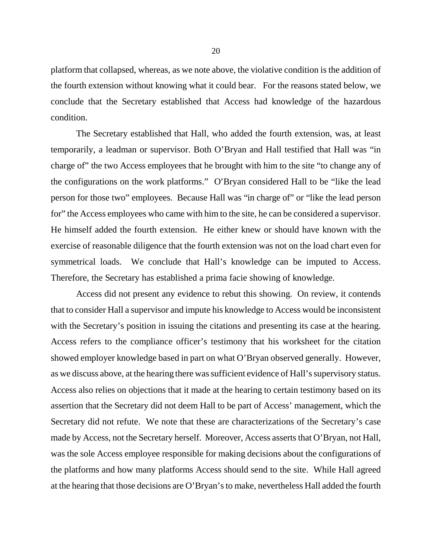platform that collapsed, whereas, as we note above, the violative condition is the addition of the fourth extension without knowing what it could bear. For the reasons stated below, we conclude that the Secretary established that Access had knowledge of the hazardous condition.

The Secretary established that Hall, who added the fourth extension, was, at least temporarily, a leadman or supervisor. Both O'Bryan and Hall testified that Hall was "in charge of" the two Access employees that he brought with him to the site "to change any of the configurations on the work platforms." O'Bryan considered Hall to be "like the lead person for those two" employees. Because Hall was "in charge of" or "like the lead person for" the Access employees who came with him to the site, he can be considered a supervisor. He himself added the fourth extension. He either knew or should have known with the exercise of reasonable diligence that the fourth extension was not on the load chart even for symmetrical loads. We conclude that Hall's knowledge can be imputed to Access. Therefore, the Secretary has established a prima facie showing of knowledge.

Access did not present any evidence to rebut this showing. On review, it contends that to consider Hall a supervisor and impute his knowledge to Access would be inconsistent with the Secretary's position in issuing the citations and presenting its case at the hearing. Access refers to the compliance officer's testimony that his worksheet for the citation showed employer knowledge based in part on what O'Bryan observed generally. However, as we discuss above, at the hearing there was sufficient evidence of Hall's supervisory status. Access also relies on objections that it made at the hearing to certain testimony based on its assertion that the Secretary did not deem Hall to be part of Access' management, which the Secretary did not refute. We note that these are characterizations of the Secretary's case made by Access, not the Secretary herself. Moreover, Access asserts that O'Bryan, not Hall, was the sole Access employee responsible for making decisions about the configurations of the platforms and how many platforms Access should send to the site. While Hall agreed at the hearing that those decisions are O'Bryan's to make, nevertheless Hall added the fourth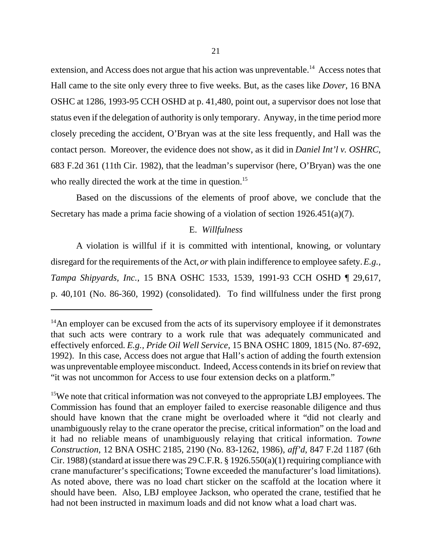extension, and Access does not argue that his action was unpreventable.<sup>14</sup> Access notes that Hall came to the site only every three to five weeks. But, as the cases like *Dover*, 16 BNA OSHC at 1286, 1993-95 CCH OSHD at p. 41,480, point out, a supervisor does not lose that status even if the delegation of authority is only temporary. Anyway, in the time period more closely preceding the accident, O'Bryan was at the site less frequently, and Hall was the contact person. Moreover, the evidence does not show, as it did in *Daniel Int'l v. OSHRC*, 683 F.2d 361 (11th Cir. 1982), that the leadman's supervisor (here, O'Bryan) was the one who really directed the work at the time in question.<sup>15</sup>

Based on the discussions of the elements of proof above, we conclude that the Secretary has made a prima facie showing of a violation of section 1926.451(a)(7).

# E. *Willfulness*

A violation is willful if it is committed with intentional, knowing, or voluntary disregard for the requirements of the Act, *or* with plain indifference to employee safety. *E.g., Tampa Shipyards, Inc.*, 15 BNA OSHC 1533, 1539, 1991-93 CCH OSHD ¶ 29,617, p. 40,101 (No. 86-360, 1992) (consolidated). To find willfulness under the first prong

<sup>15</sup>We note that critical information was not conveyed to the appropriate LBJ employees. The Commission has found that an employer failed to exercise reasonable diligence and thus should have known that the crane might be overloaded where it "did not clearly and unambiguously relay to the crane operator the precise, critical information" on the load and it had no reliable means of unambiguously relaying that critical information. *Towne Construction*, 12 BNA OSHC 2185, 2190 (No. 83-1262, 1986), *aff'd*, 847 F.2d 1187 (6th Cir. 1988) (standard at issue there was  $29$  C.F.R. § 1926.550(a)(1) requiring compliance with crane manufacturer's specifications; Towne exceeded the manufacturer's load limitations). As noted above, there was no load chart sticker on the scaffold at the location where it should have been. Also, LBJ employee Jackson, who operated the crane, testified that he had not been instructed in maximum loads and did not know what a load chart was.

 $14$ An employer can be excused from the acts of its supervisory employee if it demonstrates that such acts were contrary to a work rule that was adequately communicated and effectively enforced. *E.g., Pride Oil Well Service*, 15 BNA OSHC 1809, 1815 (No. 87-692, 1992). In this case, Access does not argue that Hall's action of adding the fourth extension was unpreventable employee misconduct. Indeed, Access contends in its brief on review that "it was not uncommon for Access to use four extension decks on a platform."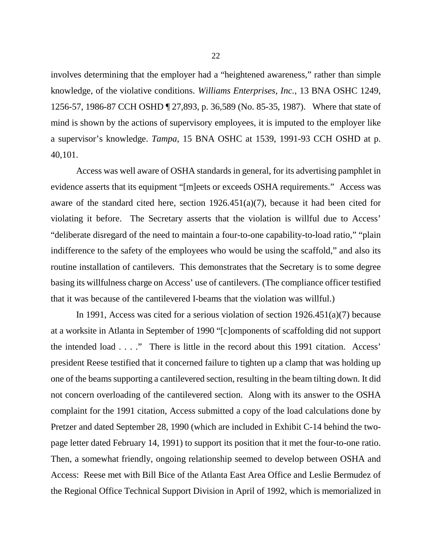involves determining that the employer had a "heightened awareness," rather than simple knowledge, of the violative conditions. *Williams Enterprises, Inc.*, 13 BNA OSHC 1249, 1256-57, 1986-87 CCH OSHD ¶ 27,893, p. 36,589 (No. 85-35, 1987). Where that state of mind is shown by the actions of supervisory employees, it is imputed to the employer like a supervisor's knowledge. *Tampa*, 15 BNA OSHC at 1539, 1991-93 CCH OSHD at p. 40,101.

Access was well aware of OSHA standards in general, for its advertising pamphlet in evidence asserts that its equipment "[m]eets or exceeds OSHA requirements." Access was aware of the standard cited here, section 1926.451(a)(7), because it had been cited for violating it before. The Secretary asserts that the violation is willful due to Access' "deliberate disregard of the need to maintain a four-to-one capability-to-load ratio," "plain indifference to the safety of the employees who would be using the scaffold," and also its routine installation of cantilevers. This demonstrates that the Secretary is to some degree basing its willfulness charge on Access' use of cantilevers. (The compliance officer testified that it was because of the cantilevered I-beams that the violation was willful.)

In 1991, Access was cited for a serious violation of section 1926.451(a)(7) because at a worksite in Atlanta in September of 1990 "[c]omponents of scaffolding did not support the intended load . . . ." There is little in the record about this 1991 citation. Access' president Reese testified that it concerned failure to tighten up a clamp that was holding up one of the beams supporting a cantilevered section, resulting in the beam tilting down. It did not concern overloading of the cantilevered section. Along with its answer to the OSHA complaint for the 1991 citation, Access submitted a copy of the load calculations done by Pretzer and dated September 28, 1990 (which are included in Exhibit C-14 behind the twopage letter dated February 14, 1991) to support its position that it met the four-to-one ratio. Then, a somewhat friendly, ongoing relationship seemed to develop between OSHA and Access: Reese met with Bill Bice of the Atlanta East Area Office and Leslie Bermudez of the Regional Office Technical Support Division in April of 1992, which is memorialized in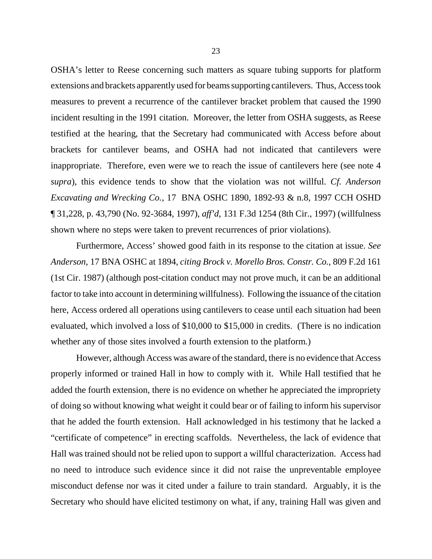OSHA's letter to Reese concerning such matters as square tubing supports for platform extensions and brackets apparently used for beams supporting cantilevers. Thus, Access took measures to prevent a recurrence of the cantilever bracket problem that caused the 1990 incident resulting in the 1991 citation. Moreover, the letter from OSHA suggests, as Reese testified at the hearing, that the Secretary had communicated with Access before about brackets for cantilever beams, and OSHA had not indicated that cantilevers were inappropriate. Therefore, even were we to reach the issue of cantilevers here (see note 4 *supra*), this evidence tends to show that the violation was not willful. *Cf. Anderson Excavating and Wrecking Co.,* 17 BNA OSHC 1890, 1892-93 & n.8, 1997 CCH OSHD ¶ 31,228, p. 43,790 (No. 92-3684, 1997), *aff'd*, 131 F.3d 1254 (8th Cir., 1997) (willfulness shown where no steps were taken to prevent recurrences of prior violations).

Furthermore, Access' showed good faith in its response to the citation at issue. *See Anderson*, 17 BNA OSHC at 1894, *citing Brock v. Morello Bros. Constr. Co.*, 809 F.2d 161 (1st Cir. 1987) (although post-citation conduct may not prove much, it can be an additional factor to take into account in determining willfulness). Following the issuance of the citation here, Access ordered all operations using cantilevers to cease until each situation had been evaluated, which involved a loss of \$10,000 to \$15,000 in credits. (There is no indication whether any of those sites involved a fourth extension to the platform.)

However, although Access was aware of the standard, there is no evidence that Access properly informed or trained Hall in how to comply with it. While Hall testified that he added the fourth extension, there is no evidence on whether he appreciated the impropriety of doing so without knowing what weight it could bear or of failing to inform his supervisor that he added the fourth extension. Hall acknowledged in his testimony that he lacked a "certificate of competence" in erecting scaffolds. Nevertheless, the lack of evidence that Hall was trained should not be relied upon to support a willful characterization. Access had no need to introduce such evidence since it did not raise the unpreventable employee misconduct defense nor was it cited under a failure to train standard. Arguably, it is the Secretary who should have elicited testimony on what, if any, training Hall was given and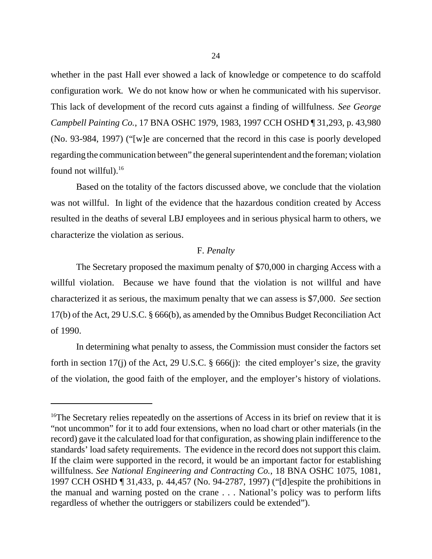whether in the past Hall ever showed a lack of knowledge or competence to do scaffold configuration work. We do not know how or when he communicated with his supervisor. This lack of development of the record cuts against a finding of willfulness. *See George Campbell Painting Co.*, 17 BNA OSHC 1979, 1983, 1997 CCH OSHD ¶ 31,293, p. 43,980 (No. 93-984, 1997) ("[w]e are concerned that the record in this case is poorly developed regarding the communication between" the general superintendent and the foreman; violation found not willful). $^{16}$ 

Based on the totality of the factors discussed above, we conclude that the violation was not willful. In light of the evidence that the hazardous condition created by Access resulted in the deaths of several LBJ employees and in serious physical harm to others, we characterize the violation as serious.

### F. *Penalty*

The Secretary proposed the maximum penalty of \$70,000 in charging Access with a willful violation. Because we have found that the violation is not willful and have characterized it as serious, the maximum penalty that we can assess is \$7,000. *See* section 17(b) of the Act, 29 U.S.C. § 666(b), as amended by the Omnibus Budget Reconciliation Act of 1990.

In determining what penalty to assess, the Commission must consider the factors set forth in section 17(j) of the Act, 29 U.S.C.  $\S$  666(j): the cited employer's size, the gravity of the violation, the good faith of the employer, and the employer's history of violations.

<sup>&</sup>lt;sup>16</sup>The Secretary relies repeatedly on the assertions of Access in its brief on review that it is "not uncommon" for it to add four extensions, when no load chart or other materials (in the record) gave it the calculated load for that configuration, as showing plain indifference to the standards' load safety requirements. The evidence in the record does not support this claim. If the claim were supported in the record, it would be an important factor for establishing willfulness. *See National Engineering and Contracting Co.*, 18 BNA OSHC 1075, 1081, 1997 CCH OSHD ¶ 31,433, p. 44,457 (No. 94-2787, 1997) ("[d]espite the prohibitions in the manual and warning posted on the crane . . . National's policy was to perform lifts regardless of whether the outriggers or stabilizers could be extended").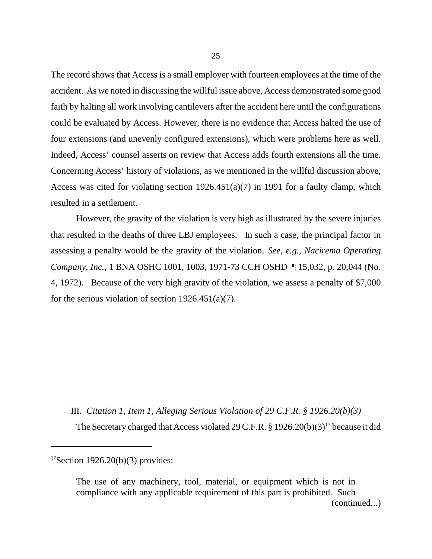The record shows that Access is a small employer with fourteen employees at the time of the accident. As we noted in discussing the willful issue above, Access demonstrated some good faith by halting all work involving cantilevers after the accident here until the configurations could be evaluated by Access. However, there is no evidence that Access halted the use of four extensions (and unevenly configured extensions), which were problems here as well. Indeed, Access' counsel asserts on review that Access adds fourth extensions all the time. Concerning Access' history of violations, as we mentioned in the willful discussion above, Access was cited for violating section 1926.451(a)(7) in 1991 for a faulty clamp, which resulted in a settlement.

However, the gravity of the violation is very high as illustrated by the severe injuries that resulted in the deaths of three LBJ employees. In such a case, the principal factor in assessing a penalty would be the gravity of the violation. *See, e.g., Nacirema Operating Company, Inc.*, 1 BNA OSHC 1001, 1003, 1971-73 CCH OSHD ¶ 15,032, p. 20,044 (No. 4, 1972). Because of the very high gravity of the violation, we assess a penalty of \$7,000 for the serious violation of section  $1926.451(a)(7)$ .

III. *Citation 1, Item 1, Alleging Serious Violation of 29 C.F.R. § 1926.20(b)(3)* The Secretary charged that Access violated 29 C.F.R.  $\S 1926.20(b)(3)^{17}$  because it did

The use of any machinery, tool, material, or equipment which is not in compliance with any applicable requirement of this part is prohibited. Such (continued...)

 $17$ Section 1926.20(b)(3) provides: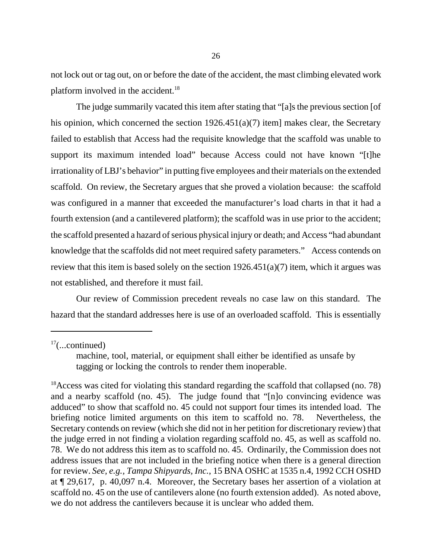not lock out or tag out, on or before the date of the accident, the mast climbing elevated work platform involved in the accident.<sup>18</sup>

The judge summarily vacated this item after stating that "[a]s the previous section [of his opinion, which concerned the section  $1926.451(a)(7)$  item] makes clear, the Secretary failed to establish that Access had the requisite knowledge that the scaffold was unable to support its maximum intended load" because Access could not have known "[t]he irrationality of LBJ's behavior" in putting five employees and their materials on the extended scaffold. On review, the Secretary argues that she proved a violation because: the scaffold was configured in a manner that exceeded the manufacturer's load charts in that it had a fourth extension (and a cantilevered platform); the scaffold was in use prior to the accident; the scaffold presented a hazard of serious physical injury or death; and Access "had abundant knowledge that the scaffolds did not meet required safety parameters." Access contends on review that this item is based solely on the section  $1926.451(a)(7)$  item, which it argues was not established, and therefore it must fail.

Our review of Commission precedent reveals no case law on this standard. The hazard that the standard addresses here is use of an overloaded scaffold. This is essentially

 $17$ (...continued)

machine, tool, material, or equipment shall either be identified as unsafe by tagging or locking the controls to render them inoperable.

<sup>&</sup>lt;sup>18</sup> Access was cited for violating this standard regarding the scaffold that collapsed (no. 78) and a nearby scaffold (no. 45). The judge found that "[n]o convincing evidence was adduced" to show that scaffold no. 45 could not support four times its intended load. The briefing notice limited arguments on this item to scaffold no. 78. Nevertheless, the Secretary contends on review (which she did not in her petition for discretionary review) that the judge erred in not finding a violation regarding scaffold no. 45, as well as scaffold no. 78. We do not address this item as to scaffold no. 45. Ordinarily, the Commission does not address issues that are not included in the briefing notice when there is a general direction for review. *See, e.g., Tampa Shipyards, Inc.*, 15 BNA OSHC at 1535 n.4, 1992 CCH OSHD at ¶ 29,617, p. 40,097 n.4. Moreover, the Secretary bases her assertion of a violation at scaffold no. 45 on the use of cantilevers alone (no fourth extension added). As noted above, we do not address the cantilevers because it is unclear who added them.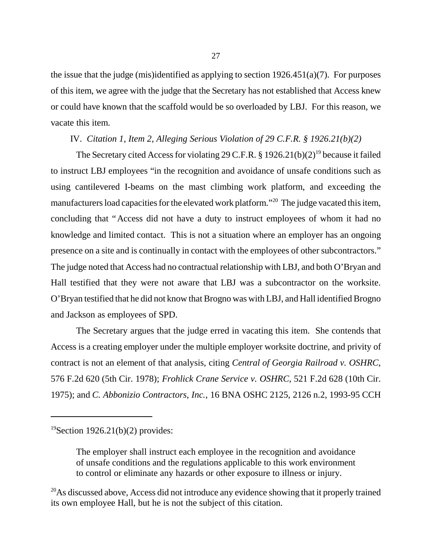the issue that the judge (mis)identified as applying to section  $1926.451(a)(7)$ . For purposes of this item, we agree with the judge that the Secretary has not established that Access knew or could have known that the scaffold would be so overloaded by LBJ. For this reason, we vacate this item.

### IV. *Citation 1, Item 2, Alleging Serious Violation of 29 C.F.R. § 1926.21(b)(2)*

The Secretary cited Access for violating 29 C.F.R.  $\S 1926.21(b)(2)^{19}$  because it failed to instruct LBJ employees "in the recognition and avoidance of unsafe conditions such as using cantilevered I-beams on the mast climbing work platform, and exceeding the manufacturers load capacities for the elevated work platform."<sup>20</sup> The judge vacated this item, concluding that "Access did not have a duty to instruct employees of whom it had no knowledge and limited contact. This is not a situation where an employer has an ongoing presence on a site and is continually in contact with the employees of other subcontractors." The judge noted that Access had no contractual relationship with LBJ, and both O'Bryan and Hall testified that they were not aware that LBJ was a subcontractor on the worksite. O'Bryan testified that he did not know that Brogno was with LBJ, and Hall identified Brogno and Jackson as employees of SPD.

The Secretary argues that the judge erred in vacating this item. She contends that Access is a creating employer under the multiple employer worksite doctrine, and privity of contract is not an element of that analysis, citing *Central of Georgia Railroad v. OSHRC*, 576 F.2d 620 (5th Cir. 1978); *Frohlick Crane Service v. OSHRC*, 521 F.2d 628 (10th Cir. 1975); and *C. Abbonizio Contractors, Inc.*, 16 BNA OSHC 2125, 2126 n.2, 1993-95 CCH

 $19$ Section 1926.21(b)(2) provides:

The employer shall instruct each employee in the recognition and avoidance of unsafe conditions and the regulations applicable to this work environment to control or eliminate any hazards or other exposure to illness or injury.

<sup>&</sup>lt;sup>20</sup>As discussed above, Access did not introduce any evidence showing that it properly trained its own employee Hall, but he is not the subject of this citation.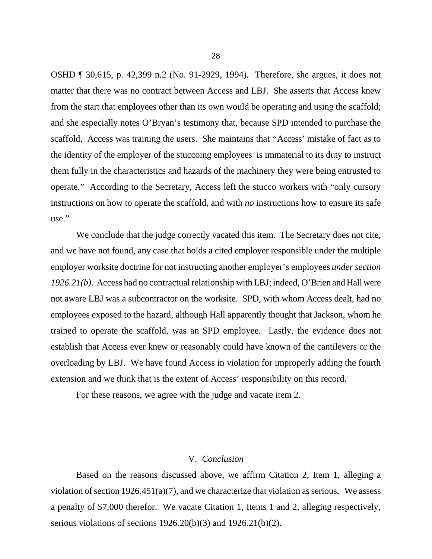OSHD ¶ 30,615, p. 42,399 n.2 (No. 91-2929, 1994). Therefore, she argues, it does not matter that there was no contract between Access and LBJ. She asserts that Access knew from the start that employees other than its own would be operating and using the scaffold; and she especially notes O'Bryan's testimony that, because SPD intended to purchase the scaffold, Access was training the users. She maintains that "Access' mistake of fact as to the identity of the employer of the stuccoing employees is immaterial to its duty to instruct them fully in the characteristics and hazards of the machinery they were being entrusted to operate." According to the Secretary, Access left the stucco workers with "only cursory instructions on how to operate the scaffold, and with *no* instructions how to ensure its safe use."

We conclude that the judge correctly vacated this item. The Secretary does not cite, and we have not found, any case that holds a cited employer responsible under the multiple employer worksite doctrine for not instructing another employer's employees *under section 1926.21(b)*. Access had no contractual relationship with LBJ; indeed, O'Brien and Hall were not aware LBJ was a subcontractor on the worksite. SPD, with whom Access dealt, had no employees exposed to the hazard, although Hall apparently thought that Jackson, whom he trained to operate the scaffold, was an SPD employee. Lastly, the evidence does not establish that Access ever knew or reasonably could have known of the cantilevers or the overloading by LBJ. We have found Access in violation for improperly adding the fourth extension and we think that is the extent of Access' responsibility on this record.

For these reasons, we agree with the judge and vacate item 2.

## V. *Conclusion*

Based on the reasons discussed above, we affirm Citation 2, Item 1, alleging a violation of section  $1926.451(a)(7)$ , and we characterize that violation as serious. We assess a penalty of \$7,000 therefor. We vacate Citation 1, Items 1 and 2, alleging respectively, serious violations of sections 1926.20(b)(3) and 1926.21(b)(2).